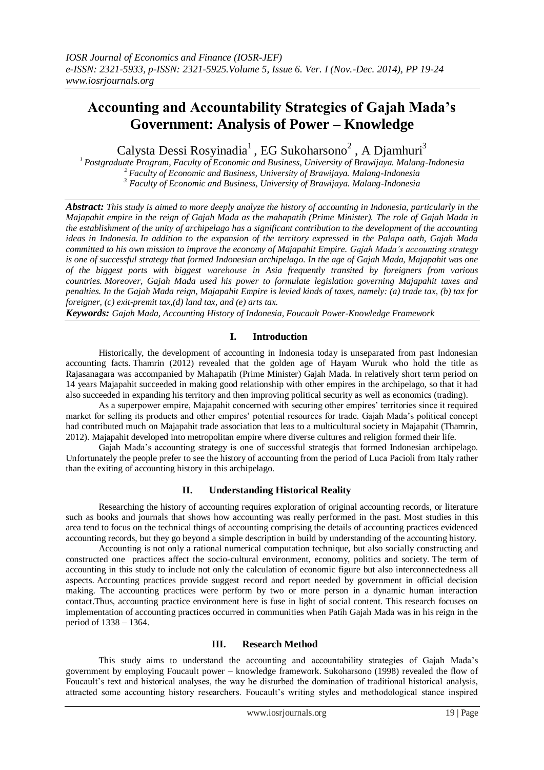# **Accounting and Accountability Strategies of Gajah Mada's Government: Analysis of Power – Knowledge**

Calysta Dessi Rosyinadia<sup>1</sup>, EG Sukoharsono<sup>2</sup>, A Djamhuri<sup>3</sup>

*<sup>1</sup>Postgraduate Program, Faculty of Economic and Business, University of Brawijaya. Malang-Indonesia <sup>2</sup>Faculty of Economic and Business, University of Brawijaya. Malang-Indonesia <sup>3</sup> Faculty of Economic and Business, University of Brawijaya. Malang-Indonesia*

*Abstract: This study is aimed to more deeply analyze the history of accounting in Indonesia, particularly in the Majapahit empire in the reign of Gajah Mada as the mahapatih (Prime Minister). The role of Gajah Mada in the establishment of the unity of archipelago has a significant contribution to the development of the accounting ideas in Indonesia. In addition to the expansion of the territory expressed in the Palapa oath, Gajah Mada committed to his own mission to improve the economy of Majapahit Empire. Gajah Mada's accounting strategy is one of successful strategy that formed Indonesian archipelago. In the age of Gajah Mada, Majapahit was one of the biggest ports with biggest warehouse in Asia frequently transited by foreigners from various countries. Moreover, Gajah Mada used his power to formulate legislation governing Majapahit taxes and penalties. In the Gajah Mada reign, Majapahit Empire is levied kinds of taxes, namely: (a) trade tax, (b) tax for foreigner, (c) exit-premit tax,(d) land tax, and (e) arts tax.*

*Keywords: Gajah Mada, Accounting History of Indonesia, Foucault Power-Knowledge Framework*

#### **I. Introduction**

Historically, the development of accounting in Indonesia today is unseparated from past Indonesian accounting facts. Thamrin (2012) revealed that the golden age of Hayam Wuruk who hold the title as Rajasanagara was accompanied by Mahapatih (Prime Minister) Gajah Mada. In relatively short term period on 14 years Majapahit succeeded in making good relationship with other empires in the archipelago, so that it had also succeeded in expanding his territory and then improving political security as well as economics (trading).

As a superpower empire, Majapahit concerned with securing other empires' territories since it required market for selling its products and other empires" potential resources for trade. Gajah Mada"s political concept had contributed much on Majapahit trade association that leas to a multicultural society in Majapahit (Thamrin, 2012). Majapahit developed into metropolitan empire where diverse cultures and religion formed their life.

Gajah Mada"s accounting strategy is one of successful strategis that formed Indonesian archipelago. Unfortunately the people prefer to see the history of accounting from the period of Luca Pacioli from Italy rather than the exiting of accounting history in this archipelago.

# **II. Understanding Historical Reality**

Researching the history of accounting requires exploration of original accounting records, or literature such as books and journals that shows how accounting was really performed in the past. Most studies in this area tend to focus on the technical things of accounting comprising the details of accounting practices evidenced accounting records, but they go beyond a simple description in build by understanding of the accounting history.

Accounting is not only a rational numerical computation technique, but also socially constructing and constructed one practices affect the socio-cultural environment, economy, politics and society. The term of accounting in this study to include not only the calculation of economic figure but also interconnectedness all aspects. Accounting practices provide suggest record and report needed by government in official decision making. The accounting practices were perform by two or more person in a dynamic human interaction contact.Thus, accounting practice environment here is fuse in light of social content. This research focuses on implementation of accounting practices occurred in communities when Patih Gajah Mada was in his reign in the period of 1338 – 1364.

#### **III. Research Method**

This study aims to understand the accounting and accountability strategies of Gajah Mada"s government by employing Foucault power – knowledge framework. Sukoharsono (1998) revealed the flow of Foucault's text and historical analyses, the way he disturbed the domination of traditional historical analysis, attracted some accounting history researchers. Foucault's writing styles and methodological stance inspired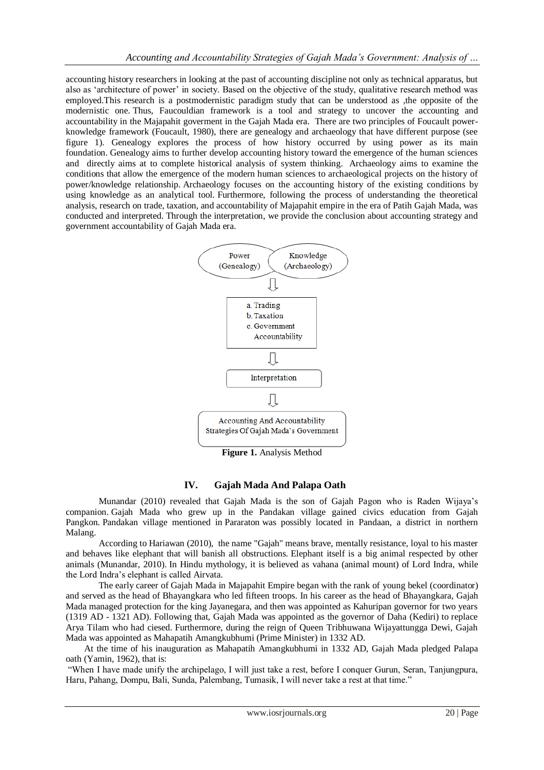accounting history researchers in looking at the past of accounting discipline not only as technical apparatus, but also as "architecture of power" in society. Based on the objective of the study, qualitative research method was employed.This research is a postmodernistic paradigm study that can be understood as ,the opposite of the modernistic one. Thus, Faucouldian framework is a tool and strategy to uncover the accounting and accountability in the Majapahit goverment in the Gajah Mada era. There are two principles of Foucault powerknowledge framework (Foucault, 1980), there are genealogy and archaeology that have different purpose (see figure 1). Genealogy explores the process of how history occurred by using power as its main foundation. Genealogy aims to further develop accounting history toward the emergence of the human sciences and directly aims at to complete historical analysis of system thinking. Archaeology aims to examine the conditions that allow the emergence of the modern human sciences to archaeological projects on the history of power/knowledge relationship. Archaeology focuses on the accounting history of the existing conditions by using knowledge as an analytical tool. Furthermore, following the process of understanding the theoretical analysis, research on trade, taxation, and accountability of Majapahit empire in the era of Patih Gajah Mada, was conducted and interpreted. Through the interpretation, we provide the conclusion about accounting strategy and government accountability of Gajah Mada era.



**Figure 1.** Analysis Method

# **IV. Gajah Mada And Palapa Oath**

Munandar (2010) revealed that Gajah Mada is the son of Gajah Pagon who is Raden Wijaya"s companion. Gajah Mada who grew up in the Pandakan village gained civics education from Gajah Pangkon. Pandakan village mentioned in Pararaton was possibly located in Pandaan, a district in northern Malang.

According to Hariawan (2010), the name "Gajah" means brave, mentally resistance, loyal to his master and behaves like elephant that will banish all obstructions. Elephant itself is a big animal respected by other animals (Munandar, 2010). In Hindu mythology, it is believed as vahana (animal mount) of Lord Indra, while the Lord Indra"s elephant is called Airvata.

The early career of Gajah Mada in Majapahit Empire began with the rank of young bekel (coordinator) and served as the head of Bhayangkara who led fifteen troops. In his career as the head of Bhayangkara, Gajah Mada managed protection for the king Jayanegara, and then was appointed as Kahuripan governor for two years (1319 AD - 1321 AD). Following that, Gajah Mada was appointed as the governor of Daha (Kediri) to replace Arya Tilam who had ciesed. Furthermore, during the reign of Queen Tribhuwana Wijayattungga Dewi, Gajah Mada was appointed as Mahapatih Amangkubhumi (Prime Minister) in 1332 AD.

At the time of his inauguration as Mahapatih Amangkubhumi in 1332 AD, Gajah Mada pledged Palapa oath (Yamin, 1962), that is:

"When I have made unify the archipelago, I will just take a rest, before I conquer Gurun, Seran, Tanjungpura, Haru, Pahang, Dompu, Bali, Sunda, Palembang, Tumasik, I will never take a rest at that time."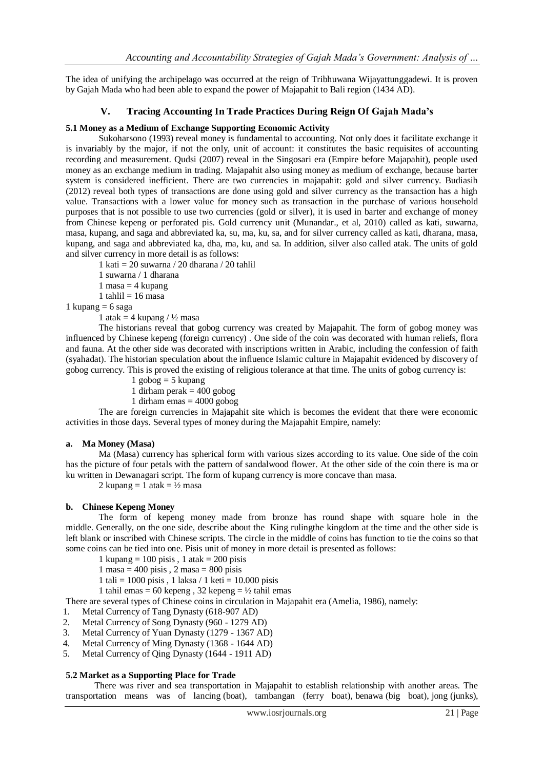The idea of unifying the archipelago was occurred at the reign of Tribhuwana Wijayattunggadewi. It is proven by Gajah Mada who had been able to expand the power of Majapahit to Bali region (1434 AD).

# **V. Tracing Accounting In Trade Practices During Reign Of Gajah Mada's**

#### **5.1 Money as a Medium of Exchange Supporting Economic Activity**

Sukoharsono (1993) reveal money is fundamental to accounting. Not only does it facilitate exchange it is invariably by the major, if not the only, unit of account: it constitutes the basic requisites of accounting recording and measurement. Qudsi (2007) reveal in the Singosari era (Empire before Majapahit), people used money as an exchange medium in trading. Majapahit also using money as medium of exchange, because barter system is considered inefficient. There are two currencies in majapahit: gold and silver currency. Budiasih (2012) reveal both types of transactions are done using gold and silver currency as the transaction has a high value. Transactions with a lower value for money such as transaction in the purchase of various household purposes that is not possible to use two currencies (gold or silver), it is used in barter and exchange of money from Chinese kepeng or perforated pis. Gold currency unit (Munandar., et al, 2010) called as kati, suwarna, masa, kupang, and saga and abbreviated ka, su, ma, ku, sa, and for silver currency called as kati, dharana, masa, kupang, and saga and abbreviated ka, dha, ma, ku, and sa. In addition, silver also called atak. The units of gold and silver currency in more detail is as follows:

1 kati =  $20$  suwarna /  $20$  dharana /  $20$  tahlil

- 1 suwarna / 1 dharana
- 1 masa  $=$  4 kupang
- 1 tahlil  $= 16$  masa

1 kupang  $= 6$  saga

1 atak = 4 kupang  $/ \frac{1}{2}$  masa

The historians reveal that gobog currency was created by Majapahit. The form of gobog money was influenced by Chinese kepeng (foreign currency) . One side of the coin was decorated with human reliefs, flora and fauna. At the other side was decorated with inscriptions written in Arabic, including the confession of faith (syahadat). The historian speculation about the influence Islamic culture in Majapahit evidenced by discovery of gobog currency. This is proved the existing of religious tolerance at that time. The units of gobog currency is:

- 1 gobog  $=$  5 kupang
- 1 dirham perak  $=$  400 gobog
- 1 dirham emas  $= 4000$  gobog

The are foreign currencies in Majapahit site which is becomes the evident that there were economic activities in those days. Several types of money during the Majapahit Empire, namely:

#### **a. Ma Money (Masa)**

Ma (Masa) currency has spherical form with various sizes according to its value. One side of the coin has the picture of four petals with the pattern of sandalwood flower. At the other side of the coin there is ma or ku written in Dewanagari script. The form of kupang currency is more concave than masa.

2 kupang  $= 1$  atak  $= \frac{1}{2}$  masa

# **b. Chinese Kepeng Money**

The form of kepeng money made from bronze has round shape with square hole in the middle. Generally, on the one side, describe about the King rulingthe kingdom at the time and the other side is left blank or inscribed with Chinese scripts. The circle in the middle of coins has function to tie the coins so that some coins can be tied into one. Pisis unit of money in more detail is presented as follows:

- 1 kupang = 100 pisis , 1 atak = 200 pisis
- $1$  masa = 400 pisis ,  $2$  masa = 800 pisis
- 1 tali = 1000 pisis, 1 laksa / 1 keti = 10.000 pisis
- 1 tahil emas = 60 kepeng, 32 kepeng =  $\frac{1}{2}$  tahil emas

There are several types of Chinese coins in circulation in Majapahit era (Amelia, 1986), namely:

- 1. Metal Currency of Tang Dynasty (618-907 AD)
- 2. Metal Currency of Song Dynasty (960 1279 AD)
- 3. Metal Currency of Yuan Dynasty (1279 1367 AD)
- 4. Metal Currency of Ming Dynasty (1368 1644 AD)
- 5. Metal Currency of Qing Dynasty (1644 1911 AD)

# **5.2 Market as a Supporting Place for Trade**

There was river and sea transportation in Majapahit to establish relationship with another areas. The transportation means was of lancing (boat), tambangan (ferry boat), benawa (big boat), jong (junks),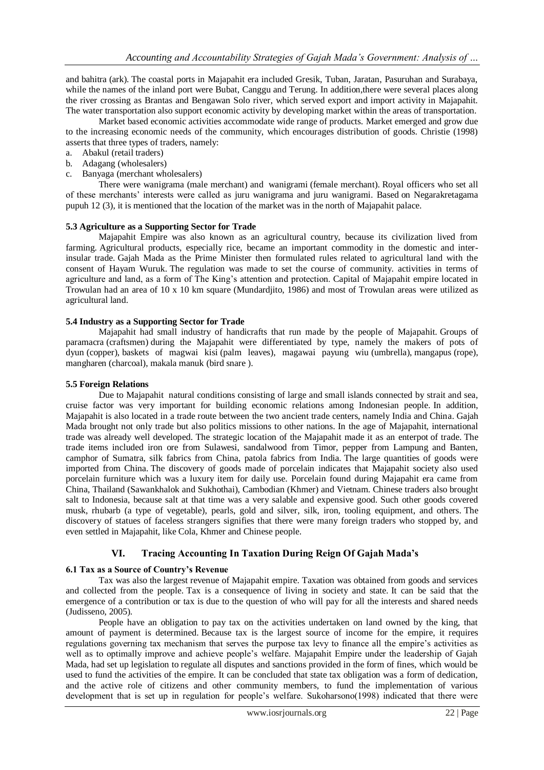and bahitra (ark). The coastal ports in Majapahit era included Gresik, Tuban, Jaratan, Pasuruhan and Surabaya, while the names of the inland port were Bubat, Canggu and Terung. In addition,there were several places along the river crossing as Brantas and Bengawan Solo river, which served export and import activity in Majapahit. The water transportation also support economic activity by developing market within the areas of transportation.

Market based economic activities accommodate wide range of products. Market emerged and grow due to the increasing economic needs of the community, which encourages distribution of goods. Christie (1998) asserts that three types of traders, namely:

- a. Abakul (retail traders)
- b. Adagang (wholesalers)
- c. Banyaga (merchant wholesalers)

There were wanigrama (male merchant) and wanigrami (female merchant). Royal officers who set all of these merchants" interests were called as juru wanigrama and juru wanigrami. Based on Negarakretagama pupuh 12 (3), it is mentioned that the location of the market was in the north of Majapahit palace.

# **5.3 Agriculture as a Supporting Sector for Trade**

Majapahit Empire was also known as an agricultural country, because its civilization lived from farming. Agricultural products, especially rice, became an important commodity in the domestic and interinsular trade. Gajah Mada as the Prime Minister then formulated rules related to agricultural land with the consent of Hayam Wuruk. The regulation was made to set the course of community. activities in terms of agriculture and land, as a form of The King"s attention and protection. Capital of Majapahit empire located in Trowulan had an area of 10 x 10 km square (Mundardjito, 1986) and most of Trowulan areas were utilized as agricultural land.

#### **5.4 Industry as a Supporting Sector for Trade**

Majapahit had small industry of handicrafts that run made by the people of Majapahit. Groups of paramacra (craftsmen) during the Majapahit were differentiated by type, namely the makers of pots of dyun (copper), baskets of magwai kisi (palm leaves), magawai payung wiu (umbrella), mangapus (rope), mangharen (charcoal), makala manuk (bird snare ).

#### **5.5 Foreign Relations**

Due to Majapahit natural conditions consisting of large and small islands connected by strait and sea, cruise factor was very important for building economic relations among Indonesian people. In addition, Majapahit is also located in a trade route between the two ancient trade centers, namely India and China. Gajah Mada brought not only trade but also politics missions to other nations. In the age of Majapahit, international trade was already well developed. The strategic location of the Majapahit made it as an enterpot of trade. The trade items included iron ore from Sulawesi, sandalwood from Timor, pepper from Lampung and Banten, camphor of Sumatra, silk fabrics from China, patola fabrics from India. The large quantities of goods were imported from China. The discovery of goods made of porcelain indicates that Majapahit society also used porcelain furniture which was a luxury item for daily use. Porcelain found during Majapahit era came from China, Thailand (Sawankhalok and Sukhothai), Cambodian (Khmer) and Vietnam. Chinese traders also brought salt to Indonesia, because salt at that time was a very salable and expensive good. Such other goods covered musk, rhubarb (a type of vegetable), pearls, gold and silver, silk, iron, tooling equipment, and others. The discovery of statues of faceless strangers signifies that there were many foreign traders who stopped by, and even settled in Majapahit, like Cola, Khmer and Chinese people.

# **VI. Tracing Accounting In Taxation During Reign Of Gajah Mada's**

# **6.1 Tax as a Source of Country's Revenue**

Tax was also the largest revenue of Majapahit empire. Taxation was obtained from goods and services and collected from the people. Tax is a consequence of living in society and state. It can be said that the emergence of a contribution or tax is due to the question of who will pay for all the interests and shared needs (Judisseno, 2005).

People have an obligation to pay tax on the activities undertaken on land owned by the king, that amount of payment is determined. Because tax is the largest source of income for the empire, it requires regulations governing tax mechanism that serves the purpose tax levy to finance all the empire"s activities as well as to optimally improve and achieve people's welfare. Majapahit Empire under the leadership of Gajah Mada, had set up legislation to regulate all disputes and sanctions provided in the form of fines, which would be used to fund the activities of the empire. It can be concluded that state tax obligation was a form of dedication, and the active role of citizens and other community members, to fund the implementation of various development that is set up in regulation for people"s welfare. Sukoharsono(1998) indicated that there were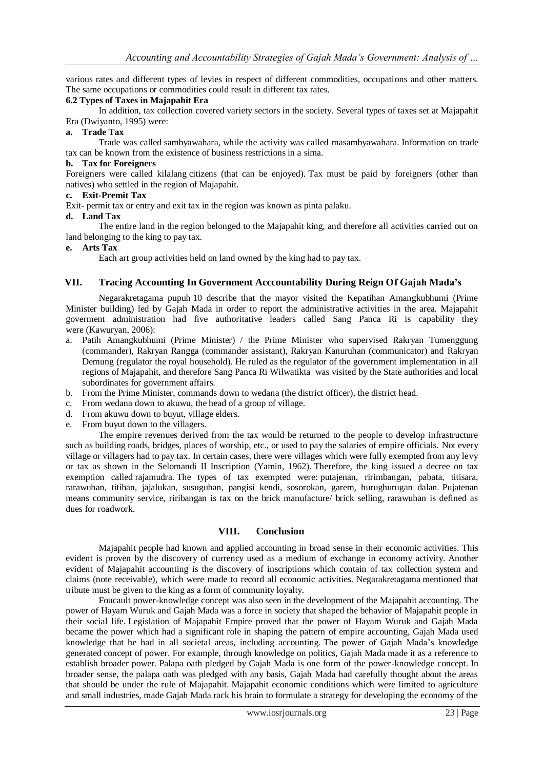various rates and different types of levies in respect of different commodities, occupations and other matters. The same occupations or commodities could result in different tax rates.

#### **6.2 Types of Taxes in Majapahit Era**

In addition, tax collection covered variety sectors in the society. Several types of taxes set at Majapahit Era (Dwiyanto, 1995) were:

# **a. Trade Tax**

Trade was called sambyawahara, while the activity was called masambyawahara. Information on trade tax can be known from the existence of business restrictions in a sima.

#### **b. Tax for Foreigners**

Foreigners were called kilalang citizens (that can be enjoyed). Tax must be paid by foreigners (other than natives) who settled in the region of Majapahit.

# **c. Exit-Premit Tax**

Exit- permit tax or entry and exit tax in the region was known as pinta palaku.

# **d. Land Tax**

The entire land in the region belonged to the Majapahit king, and therefore all activities carried out on land belonging to the king to pay tax.

#### **e. Arts Tax**

Each art group activities held on land owned by the king had to pay tax.

# **VII. Tracing Accounting In Government Acccountability During Reign Of Gajah Mada's**

Negarakretagama pupuh 10 describe that the mayor visited the Kepatihan Amangkubhumi (Prime Minister building) led by Gajah Mada in order to report the administrative activities in the area. Majapahit goverment administration had five authoritative leaders called Sang Panca Ri is capability they were (Kawuryan, 2006):

- a. Patih Amangkubhumi (Prime Minister) / the Prime Minister who supervised Rakryan Tumenggung (commander), Rakryan Rangga (commander assistant), Rakryan Kanuruhan (communicator) and Rakryan Demung (regulator the royal household). He ruled as the regulator of the government implementation in all regions of Majapahit, and therefore Sang Panca Ri Wilwatikta was visited by the State authorities and local subordinates for government affairs.
- b. From the Prime Minister, commands down to wedana (the district officer), the district head.
- c. From wedana down to akuwu, the head of a group of village.
- d. From akuwu down to buyut, village elders.
- e. From buyut down to the villagers.

The empire revenues derived from the tax would be returned to the people to develop infrastructure such as building roads, bridges, places of worship, etc., or used to pay the salaries of empire officials. Not every village or villagers had to pay tax. In certain cases, there were villages which were fully exempted from any levy or tax as shown in the Selomandi II Inscription (Yamin, 1962). Therefore, the king issued a decree on tax exemption called rajamudra. The types of tax exempted were: putajenan, ririmbangan, pabata, titisara, rarawuhan, titiban, jajalukan, susuguhan, pangisi kendi, sosorokan, garem, hurughurugan dalan. Pujatenan means community service, riribangan is tax on the brick manufacture/ brick selling, rarawuhan is defined as dues for roadwork.

# **VIII. Conclusion**

Majapahit people had known and applied accounting in broad sense in their economic activities. This evident is proven by the discovery of currency used as a medium of exchange in economy activity. Another evident of Majapahit accounting is the discovery of inscriptions which contain of tax collection system and claims (note receivable), which were made to record all economic activities. Negarakretagama mentioned that tribute must be given to the king as a form of community loyalty.

Foucault power-knowledge concept was also seen in the development of the Majapahit accounting. The power of Hayam Wuruk and Gajah Mada was a force in society that shaped the behavior of Majapahit people in their social life. Legislation of Majapahit Empire proved that the power of Hayam Wuruk and Gajah Mada became the power which had a significant role in shaping the pattern of empire accounting, Gajah Mada used knowledge that he had in all societal areas, including accounting. The power of Gajah Mada"s knowledge generated concept of power. For example, through knowledge on politics, Gajah Mada made it as a reference to establish broader power. Palapa oath pledged by Gajah Mada is one form of the power-knowledge concept. In broader sense, the palapa oath was pledged with any basis, Gajah Mada had carefully thought about the areas that should be under the rule of Majapahit. Majapahit economic conditions which were limited to agriculture and small industries, made Gajah Mada rack his brain to formulate a strategy for developing the economy of the